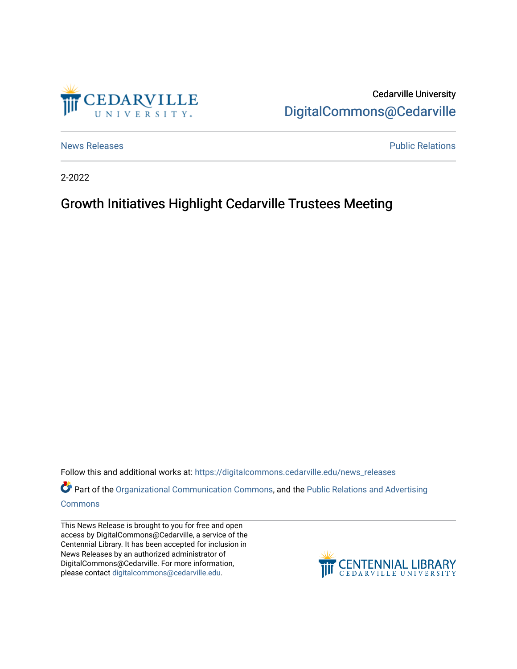

Cedarville University [DigitalCommons@Cedarville](https://digitalcommons.cedarville.edu/) 

[News Releases](https://digitalcommons.cedarville.edu/news_releases) **Public Relations Public Relations** 

2-2022

# Growth Initiatives Highlight Cedarville Trustees Meeting

Follow this and additional works at: [https://digitalcommons.cedarville.edu/news\\_releases](https://digitalcommons.cedarville.edu/news_releases?utm_source=digitalcommons.cedarville.edu%2Fnews_releases%2F1504&utm_medium=PDF&utm_campaign=PDFCoverPages) 

Part of the [Organizational Communication Commons](http://network.bepress.com/hgg/discipline/335?utm_source=digitalcommons.cedarville.edu%2Fnews_releases%2F1504&utm_medium=PDF&utm_campaign=PDFCoverPages), and the Public Relations and Advertising [Commons](http://network.bepress.com/hgg/discipline/336?utm_source=digitalcommons.cedarville.edu%2Fnews_releases%2F1504&utm_medium=PDF&utm_campaign=PDFCoverPages)

This News Release is brought to you for free and open access by DigitalCommons@Cedarville, a service of the Centennial Library. It has been accepted for inclusion in News Releases by an authorized administrator of DigitalCommons@Cedarville. For more information, please contact [digitalcommons@cedarville.edu](mailto:digitalcommons@cedarville.edu).

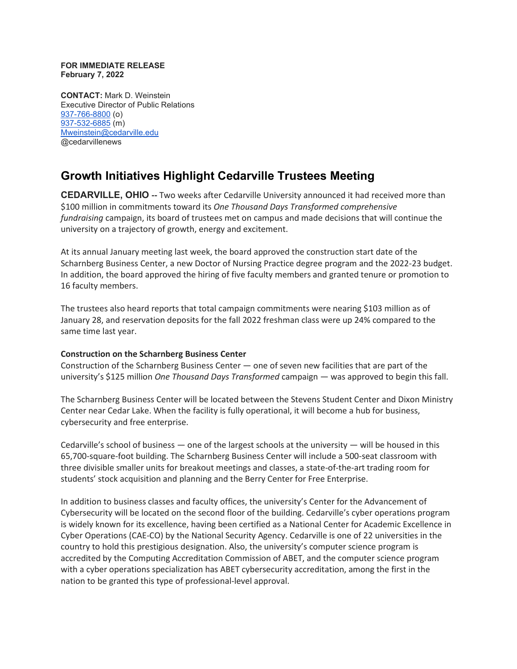#### **FOR IMMEDIATE RELEASE February 7, 2022**

**CONTACT:** Mark D. Weinstein Executive Director of Public Relations [937-766-8800](tel:937-766-8800) (o) [937-532-6885](tel:937-532-6885) (m) [Mweinstein@cedarville.edu](mailto:Mweinstein@cedarville.edu) @cedarvillenews

## **Growth Initiatives Highlight Cedarville Trustees Meeting**

**CEDARVILLE, OHIO --** Two weeks after Cedarville University announced it had received more than \$100 million in commitments toward its *One Thousand Days Transformed comprehensive fundraising* campaign, its board of trustees met on campus and made decisions that will continue the university on a trajectory of growth, energy and excitement.

At its annual January meeting last week, the board approved the construction start date of the Scharnberg Business Center, a new Doctor of Nursing Practice degree program and the 2022-23 budget. In addition, the board approved the hiring of five faculty members and granted tenure or promotion to 16 faculty members.

The trustees also heard reports that total campaign commitments were nearing \$103 million as of January 28, and reservation deposits for the fall 2022 freshman class were up 24% compared to the same time last year.

### **Construction on the Scharnberg Business Center**

Construction of the Scharnberg Business Center — one of seven new facilities that are part of the university's \$125 million *One Thousand Days Transformed* campaign — was approved to begin this fall.

The Scharnberg Business Center will be located between the Stevens Student Center and Dixon Ministry Center near Cedar Lake. When the facility is fully operational, it will become a hub for business, cybersecurity and free enterprise.

Cedarville's school of business — one of the largest schools at the university — will be housed in this 65,700-square-foot building. The Scharnberg Business Center will include a 500-seat classroom with three divisible smaller units for breakout meetings and classes, a state-of-the-art trading room for students' stock acquisition and planning and the Berry Center for Free Enterprise.

In addition to business classes and faculty offices, the university's Center for the Advancement of Cybersecurity will be located on the second floor of the building. Cedarville's cyber operations program is widely known for its excellence, having been certified as a National Center for Academic Excellence in Cyber Operations (CAE-CO) by the National Security Agency. Cedarville is one of 22 universities in the country to hold this prestigious designation. Also, the university's computer science program is accredited by the Computing Accreditation Commission of ABET, and the computer science program with a cyber operations specialization has ABET cybersecurity accreditation, among the first in the nation to be granted this type of professional-level approval.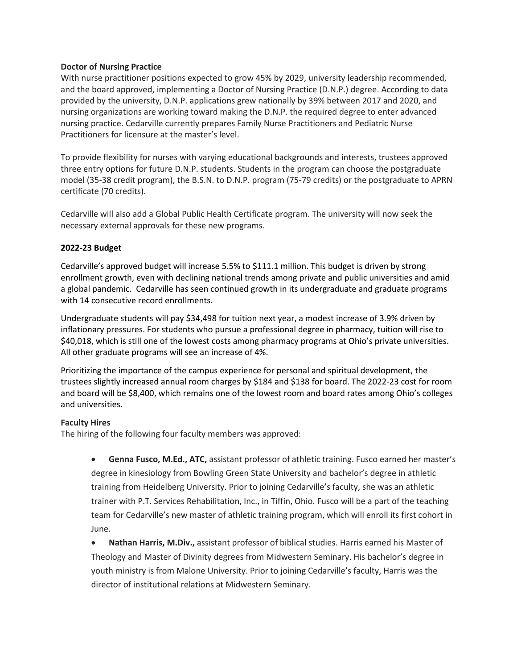#### **Doctor of Nursing Practice**

With nurse practitioner positions expected to grow 45% by 2029, university leadership recommended, and the board approved, implementing a Doctor of Nursing Practice (D.N.P.) degree. According to data provided by the university, D.N.P. applications grew nationally by 39% between 2017 and 2020, and nursing organizations are working toward making the D.N.P. the required degree to enter advanced nursing practice. Cedarville currently prepares Family Nurse Practitioners and Pediatric Nurse Practitioners for licensure at the master's level.

To provide flexibility for nurses with varying educational backgrounds and interests, trustees approved three entry options for future D.N.P. students. Students in the program can choose the postgraduate model (35-38 credit program), the B.S.N. to D.N.P. program (75-79 credits) or the postgraduate to APRN certificate (70 credits).

Cedarville will also add a Global Public Health Certificate program. The university will now seek the necessary external approvals for these new programs.

### **2022-23 Budget**

Cedarville's approved budget will increase 5.5% to \$111.1 million. This budget is driven by strong enrollment growth, even with declining national trends among private and public universities and amid a global pandemic. Cedarville has seen continued growth in its undergraduate and graduate programs with 14 consecutive record enrollments.

Undergraduate students will pay \$34,498 for tuition next year, a modest increase of 3.9% driven by inflationary pressures. For students who pursue a professional degree in pharmacy, tuition will rise to \$40,018, which is still one of the lowest costs among pharmacy programs at Ohio's private universities. All other graduate programs will see an increase of 4%.

Prioritizing the importance of the campus experience for personal and spiritual development, the trustees slightly increased annual room charges by \$184 and \$138 for board. The 2022-23 cost for room and board will be \$8,400, which remains one of the lowest room and board rates among Ohio's colleges and universities.

### **Faculty Hires**

The hiring of the following four faculty members was approved:

• **Genna Fusco, M.Ed., ATC,** assistant professor of athletic training. Fusco earned her master's degree in kinesiology from Bowling Green State University and bachelor's degree in athletic training from Heidelberg University. Prior to joining Cedarville's faculty, she was an athletic trainer with P.T. Services Rehabilitation, Inc., in Tiffin, Ohio. Fusco will be a part of the teaching team for Cedarville's new master of athletic training program, which will enroll its first cohort in June.

• **Nathan Harris, M.Div.,** assistant professor of biblical studies. Harris earned his Master of Theology and Master of Divinity degrees from Midwestern Seminary. His bachelor's degree in youth ministry is from Malone University. Prior to joining Cedarville's faculty, Harris was the director of institutional relations at Midwestern Seminary.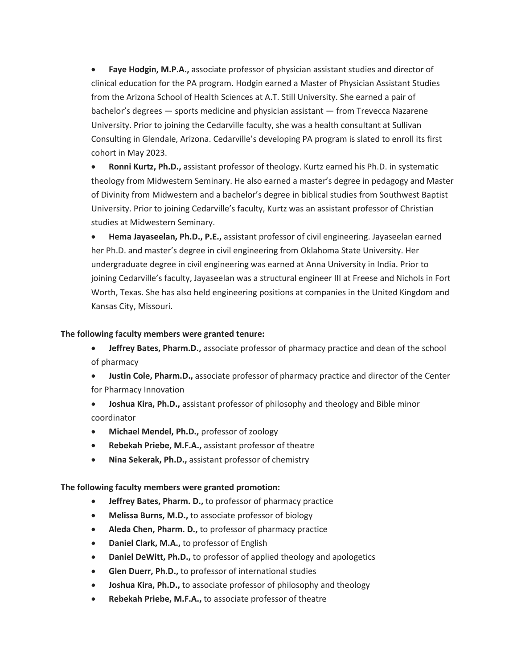• **Faye Hodgin, M.P.A.,** associate professor of physician assistant studies and director of clinical education for the PA program. Hodgin earned a Master of Physician Assistant Studies from the Arizona School of Health Sciences at A.T. Still University. She earned a pair of bachelor's degrees — sports medicine and physician assistant — from Trevecca Nazarene University. Prior to joining the Cedarville faculty, she was a health consultant at Sullivan Consulting in Glendale, Arizona. Cedarville's developing PA program is slated to enroll its first cohort in May 2023.

• **Ronni Kurtz, Ph.D.,** assistant professor of theology. Kurtz earned his Ph.D. in systematic theology from Midwestern Seminary. He also earned a master's degree in pedagogy and Master of Divinity from Midwestern and a bachelor's degree in biblical studies from Southwest Baptist University. Prior to joining Cedarville's faculty, Kurtz was an assistant professor of Christian studies at Midwestern Seminary.

• **Hema Jayaseelan, Ph.D., P.E.,** assistant professor of civil engineering. Jayaseelan earned her Ph.D. and master's degree in civil engineering from Oklahoma State University. Her undergraduate degree in civil engineering was earned at Anna University in India. Prior to joining Cedarville's faculty, Jayaseelan was a structural engineer III at Freese and Nichols in Fort Worth, Texas. She has also held engineering positions at companies in the United Kingdom and Kansas City, Missouri.

#### **The following faculty members were granted tenure:**

- **Jeffrey Bates, Pharm.D.,** associate professor of pharmacy practice and dean of the school of pharmacy
- **Justin Cole, Pharm.D.,** associate professor of pharmacy practice and director of the Center for Pharmacy Innovation
- **Joshua Kira, Ph.D.,** assistant professor of philosophy and theology and Bible minor coordinator
- **Michael Mendel, Ph.D.,** professor of zoology
- **Rebekah Priebe, M.F.A.,** assistant professor of theatre
- **Nina Sekerak, Ph.D.,** assistant professor of chemistry

### **The following faculty members were granted promotion:**

- **Jeffrey Bates, Pharm. D.,** to professor of pharmacy practice
- **Melissa Burns, M.D.,** to associate professor of biology
- **Aleda Chen, Pharm. D.,** to professor of pharmacy practice
- **Daniel Clark, M.A.,** to professor of English
- **Daniel DeWitt, Ph.D.,** to professor of applied theology and apologetics
- **Glen Duerr, Ph.D.,** to professor of international studies
- **Joshua Kira, Ph.D.,** to associate professor of philosophy and theology
- **Rebekah Priebe, M.F.A.,** to associate professor of theatre